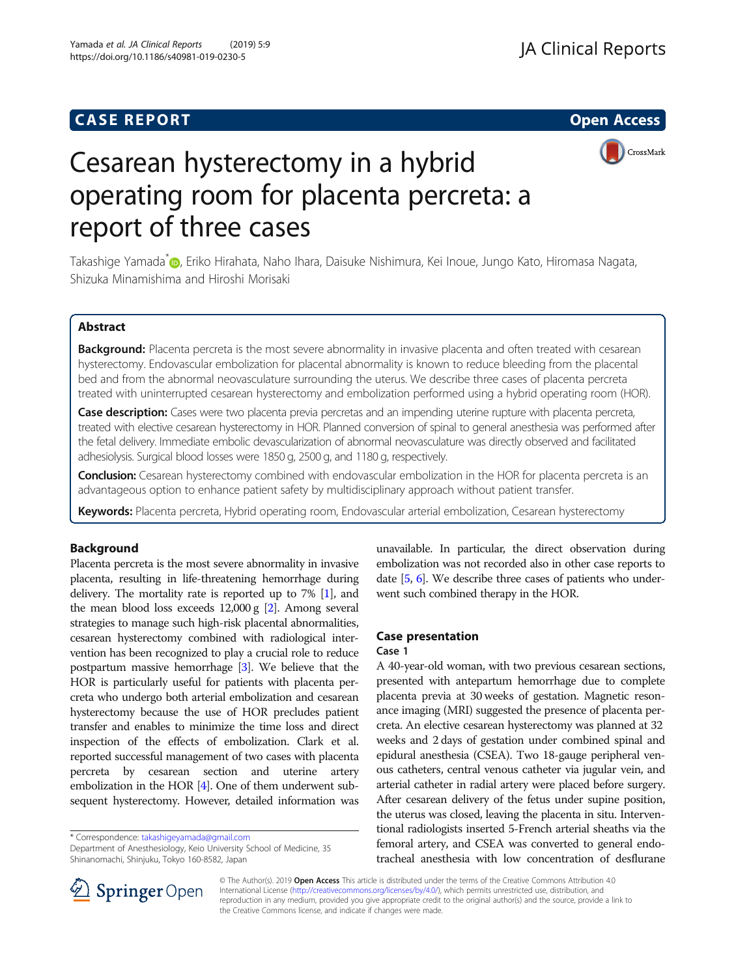# **CASE REPORT And SERVICE SERVICE SERVICE SERVICE SERVICE SERVICE SERVICE SERVICE SERVICE SERVICE SERVICE SERVICE**



# Cesarean hysterectomy in a hybrid operating room for placenta percreta: a report of three cases

Takashige Yamada<sup>\*</sup> [,](http://orcid.org/0000-0002-1152-9853) Eriko Hirahata, Naho Ihara, Daisuke Nishimura, Kei Inoue, Jungo Kato, Hiromasa Nagata, Shizuka Minamishima and Hiroshi Morisaki

## Abstract

Background: Placenta percreta is the most severe abnormality in invasive placenta and often treated with cesarean hysterectomy. Endovascular embolization for placental abnormality is known to reduce bleeding from the placental bed and from the abnormal neovasculature surrounding the uterus. We describe three cases of placenta percreta treated with uninterrupted cesarean hysterectomy and embolization performed using a hybrid operating room (HOR).

Case description: Cases were two placenta previa percretas and an impending uterine rupture with placenta percreta, treated with elective cesarean hysterectomy in HOR. Planned conversion of spinal to general anesthesia was performed after the fetal delivery. Immediate embolic devascularization of abnormal neovasculature was directly observed and facilitated adhesiolysis. Surgical blood losses were 1850 g, 2500 g, and 1180 g, respectively.

**Conclusion:** Cesarean hysterectomy combined with endovascular embolization in the HOR for placenta percreta is an advantageous option to enhance patient safety by multidisciplinary approach without patient transfer.

Keywords: Placenta percreta, Hybrid operating room, Endovascular arterial embolization, Cesarean hysterectomy

### Background

Placenta percreta is the most severe abnormality in invasive placenta, resulting in life-threatening hemorrhage during delivery. The mortality rate is reported up to 7% [\[1\]](#page-2-0), and the mean blood loss exceeds 12,000 g [[2](#page-2-0)]. Among several strategies to manage such high-risk placental abnormalities, cesarean hysterectomy combined with radiological intervention has been recognized to play a crucial role to reduce postpartum massive hemorrhage [\[3](#page-2-0)]. We believe that the HOR is particularly useful for patients with placenta percreta who undergo both arterial embolization and cesarean hysterectomy because the use of HOR precludes patient transfer and enables to minimize the time loss and direct inspection of the effects of embolization. Clark et al. reported successful management of two cases with placenta percreta by cesarean section and uterine artery embolization in the HOR [\[4](#page-2-0)]. One of them underwent subsequent hysterectomy. However, detailed information was

\* Correspondence: [takashigeyamada@gmail.com](mailto:takashigeyamada@gmail.com)

Department of Anesthesiology, Keio University School of Medicine, 35 Shinanomachi, Shinjuku, Tokyo 160-8582, Japan

unavailable. In particular, the direct observation during embolization was not recorded also in other case reports to date [\[5,](#page-2-0) [6\]](#page-2-0). We describe three cases of patients who underwent such combined therapy in the HOR.

#### Case presentation

#### Case 1

A 40-year-old woman, with two previous cesarean sections, presented with antepartum hemorrhage due to complete placenta previa at 30 weeks of gestation. Magnetic resonance imaging (MRI) suggested the presence of placenta percreta. An elective cesarean hysterectomy was planned at 32 weeks and 2 days of gestation under combined spinal and epidural anesthesia (CSEA). Two 18-gauge peripheral venous catheters, central venous catheter via jugular vein, and arterial catheter in radial artery were placed before surgery. After cesarean delivery of the fetus under supine position, the uterus was closed, leaving the placenta in situ. Interventional radiologists inserted 5-French arterial sheaths via the femoral artery, and CSEA was converted to general endotracheal anesthesia with low concentration of desflurane



© The Author(s). 2019 Open Access This article is distributed under the terms of the Creative Commons Attribution 4.0 International License ([http://creativecommons.org/licenses/by/4.0/\)](http://creativecommons.org/licenses/by/4.0/), which permits unrestricted use, distribution, and reproduction in any medium, provided you give appropriate credit to the original author(s) and the source, provide a link to the Creative Commons license, and indicate if changes were made.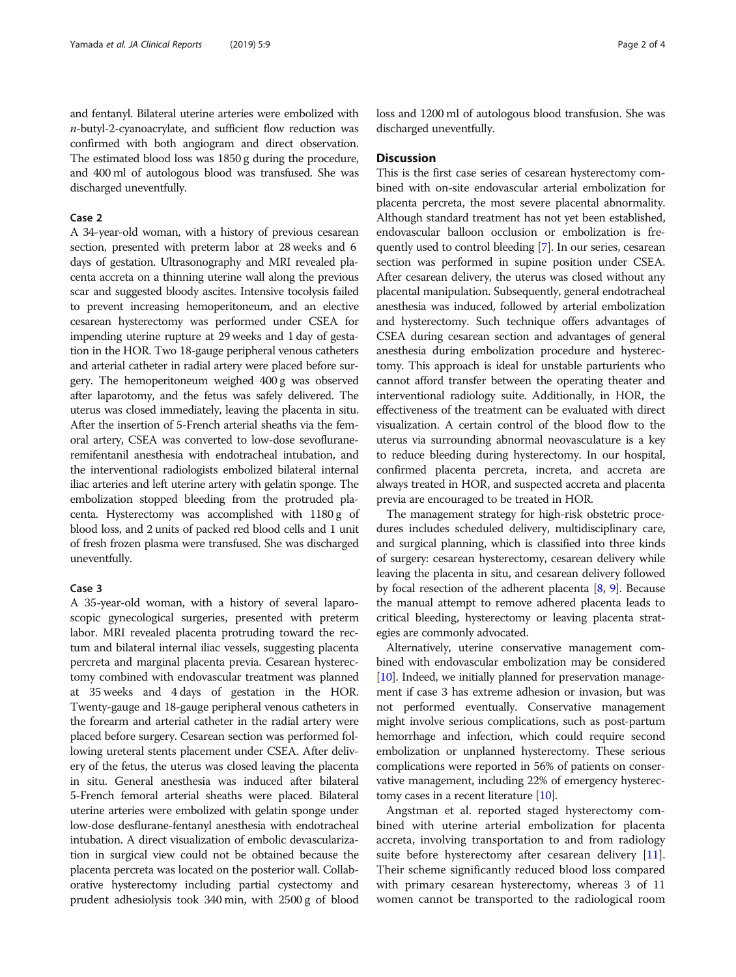and fentanyl. Bilateral uterine arteries were embolized with n-butyl-2-cyanoacrylate, and sufficient flow reduction was confirmed with both angiogram and direct observation. The estimated blood loss was 1850 g during the procedure, and 400 ml of autologous blood was transfused. She was discharged uneventfully.

#### Case 2

A 34-year-old woman, with a history of previous cesarean section, presented with preterm labor at 28 weeks and 6 days of gestation. Ultrasonography and MRI revealed placenta accreta on a thinning uterine wall along the previous scar and suggested bloody ascites. Intensive tocolysis failed to prevent increasing hemoperitoneum, and an elective cesarean hysterectomy was performed under CSEA for impending uterine rupture at 29 weeks and 1 day of gestation in the HOR. Two 18-gauge peripheral venous catheters and arterial catheter in radial artery were placed before surgery. The hemoperitoneum weighed 400 g was observed after laparotomy, and the fetus was safely delivered. The uterus was closed immediately, leaving the placenta in situ. After the insertion of 5-French arterial sheaths via the femoral artery, CSEA was converted to low-dose sevofluraneremifentanil anesthesia with endotracheal intubation, and the interventional radiologists embolized bilateral internal iliac arteries and left uterine artery with gelatin sponge. The embolization stopped bleeding from the protruded placenta. Hysterectomy was accomplished with 1180 g of blood loss, and 2 units of packed red blood cells and 1 unit of fresh frozen plasma were transfused. She was discharged uneventfully.

#### Case 3

A 35-year-old woman, with a history of several laparoscopic gynecological surgeries, presented with preterm labor. MRI revealed placenta protruding toward the rectum and bilateral internal iliac vessels, suggesting placenta percreta and marginal placenta previa. Cesarean hysterectomy combined with endovascular treatment was planned at 35 weeks and 4 days of gestation in the HOR. Twenty-gauge and 18-gauge peripheral venous catheters in the forearm and arterial catheter in the radial artery were placed before surgery. Cesarean section was performed following ureteral stents placement under CSEA. After delivery of the fetus, the uterus was closed leaving the placenta in situ. General anesthesia was induced after bilateral 5-French femoral arterial sheaths were placed. Bilateral uterine arteries were embolized with gelatin sponge under low-dose desflurane-fentanyl anesthesia with endotracheal intubation. A direct visualization of embolic devascularization in surgical view could not be obtained because the placenta percreta was located on the posterior wall. Collaborative hysterectomy including partial cystectomy and prudent adhesiolysis took 340 min, with 2500 g of blood loss and 1200 ml of autologous blood transfusion. She was discharged uneventfully.

#### **Discussion**

This is the first case series of cesarean hysterectomy combined with on-site endovascular arterial embolization for placenta percreta, the most severe placental abnormality. Although standard treatment has not yet been established, endovascular balloon occlusion or embolization is frequently used to control bleeding [\[7](#page-2-0)]. In our series, cesarean section was performed in supine position under CSEA. After cesarean delivery, the uterus was closed without any placental manipulation. Subsequently, general endotracheal anesthesia was induced, followed by arterial embolization and hysterectomy. Such technique offers advantages of CSEA during cesarean section and advantages of general anesthesia during embolization procedure and hysterectomy. This approach is ideal for unstable parturients who cannot afford transfer between the operating theater and interventional radiology suite. Additionally, in HOR, the effectiveness of the treatment can be evaluated with direct visualization. A certain control of the blood flow to the uterus via surrounding abnormal neovasculature is a key to reduce bleeding during hysterectomy. In our hospital, confirmed placenta percreta, increta, and accreta are always treated in HOR, and suspected accreta and placenta previa are encouraged to be treated in HOR.

The management strategy for high-risk obstetric procedures includes scheduled delivery, multidisciplinary care, and surgical planning, which is classified into three kinds of surgery: cesarean hysterectomy, cesarean delivery while leaving the placenta in situ, and cesarean delivery followed by focal resection of the adherent placenta [\[8](#page-3-0), [9](#page-3-0)]. Because the manual attempt to remove adhered placenta leads to critical bleeding, hysterectomy or leaving placenta strategies are commonly advocated.

Alternatively, uterine conservative management combined with endovascular embolization may be considered [[10](#page-3-0)]. Indeed, we initially planned for preservation management if case 3 has extreme adhesion or invasion, but was not performed eventually. Conservative management might involve serious complications, such as post-partum hemorrhage and infection, which could require second embolization or unplanned hysterectomy. These serious complications were reported in 56% of patients on conservative management, including 22% of emergency hysterectomy cases in a recent literature [[10](#page-3-0)].

Angstman et al. reported staged hysterectomy combined with uterine arterial embolization for placenta accreta, involving transportation to and from radiology suite before hysterectomy after cesarean delivery [\[11](#page-3-0)]. Their scheme significantly reduced blood loss compared with primary cesarean hysterectomy, whereas 3 of 11 women cannot be transported to the radiological room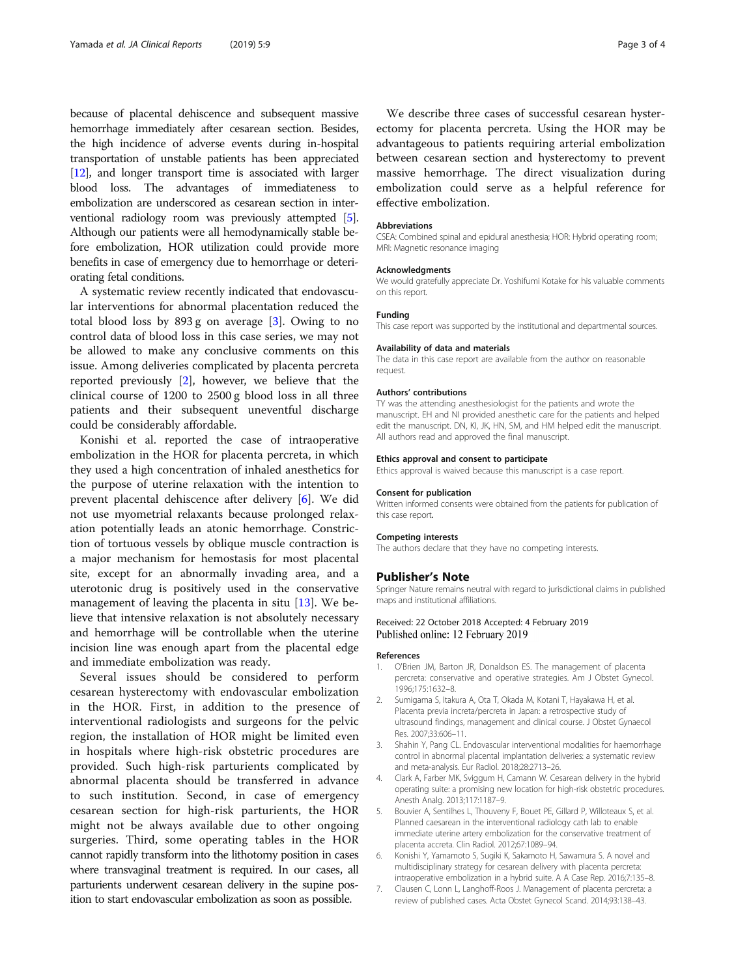<span id="page-2-0"></span>because of placental dehiscence and subsequent massive hemorrhage immediately after cesarean section. Besides, the high incidence of adverse events during in-hospital transportation of unstable patients has been appreciated [[12](#page-3-0)], and longer transport time is associated with larger blood loss. The advantages of immediateness to embolization are underscored as cesarean section in interventional radiology room was previously attempted [5]. Although our patients were all hemodynamically stable before embolization, HOR utilization could provide more benefits in case of emergency due to hemorrhage or deteriorating fetal conditions.

A systematic review recently indicated that endovascular interventions for abnormal placentation reduced the total blood loss by 893 g on average [3]. Owing to no control data of blood loss in this case series, we may not be allowed to make any conclusive comments on this issue. Among deliveries complicated by placenta percreta reported previously [2], however, we believe that the clinical course of 1200 to 2500 g blood loss in all three patients and their subsequent uneventful discharge could be considerably affordable.

Konishi et al. reported the case of intraoperative embolization in the HOR for placenta percreta, in which they used a high concentration of inhaled anesthetics for the purpose of uterine relaxation with the intention to prevent placental dehiscence after delivery [6]. We did not use myometrial relaxants because prolonged relaxation potentially leads an atonic hemorrhage. Constriction of tortuous vessels by oblique muscle contraction is a major mechanism for hemostasis for most placental site, except for an abnormally invading area, and a uterotonic drug is positively used in the conservative management of leaving the placenta in situ  $[13]$  $[13]$ . We believe that intensive relaxation is not absolutely necessary and hemorrhage will be controllable when the uterine incision line was enough apart from the placental edge and immediate embolization was ready.

Several issues should be considered to perform cesarean hysterectomy with endovascular embolization in the HOR. First, in addition to the presence of interventional radiologists and surgeons for the pelvic region, the installation of HOR might be limited even in hospitals where high-risk obstetric procedures are provided. Such high-risk parturients complicated by abnormal placenta should be transferred in advance to such institution. Second, in case of emergency cesarean section for high-risk parturients, the HOR might not be always available due to other ongoing surgeries. Third, some operating tables in the HOR cannot rapidly transform into the lithotomy position in cases where transvaginal treatment is required. In our cases, all parturients underwent cesarean delivery in the supine position to start endovascular embolization as soon as possible.

We describe three cases of successful cesarean hysterectomy for placenta percreta. Using the HOR may be advantageous to patients requiring arterial embolization between cesarean section and hysterectomy to prevent massive hemorrhage. The direct visualization during embolization could serve as a helpful reference for effective embolization.

#### Abbreviations

CSEA: Combined spinal and epidural anesthesia; HOR: Hybrid operating room; MRI: Magnetic resonance imaging

#### Acknowledgments

We would gratefully appreciate Dr. Yoshifumi Kotake for his valuable comments on this report.

#### Funding

This case report was supported by the institutional and departmental sources.

#### Availability of data and materials

The data in this case report are available from the author on reasonable request.

#### Authors' contributions

TY was the attending anesthesiologist for the patients and wrote the manuscript. EH and NI provided anesthetic care for the patients and helped edit the manuscript. DN, KI, JK, HN, SM, and HM helped edit the manuscript. All authors read and approved the final manuscript.

#### Ethics approval and consent to participate

Ethics approval is waived because this manuscript is a case report.

#### Consent for publication

Written informed consents were obtained from the patients for publication of this case report.

#### Competing interests

The authors declare that they have no competing interests.

#### Publisher's Note

Springer Nature remains neutral with regard to jurisdictional claims in published maps and institutional affiliations.

#### Received: 22 October 2018 Accepted: 4 February 2019 Published online: 12 February 2019

#### References

- 1. O'Brien JM, Barton JR, Donaldson ES. The management of placenta percreta: conservative and operative strategies. Am J Obstet Gynecol. 1996;175:1632–8.
- 2. Sumigama S, Itakura A, Ota T, Okada M, Kotani T, Hayakawa H, et al. Placenta previa increta/percreta in Japan: a retrospective study of ultrasound findings, management and clinical course. J Obstet Gynaecol Res. 2007;33:606–11.
- 3. Shahin Y, Pang CL. Endovascular interventional modalities for haemorrhage control in abnormal placental implantation deliveries: a systematic review and meta-analysis. Eur Radiol. 2018;28:2713–26.
- 4. Clark A, Farber MK, Sviggum H, Camann W. Cesarean delivery in the hybrid operating suite: a promising new location for high-risk obstetric procedures. Anesth Analg. 2013;117:1187–9.
- 5. Bouvier A, Sentilhes L, Thouveny F, Bouet PE, Gillard P, Willoteaux S, et al. Planned caesarean in the interventional radiology cath lab to enable immediate uterine artery embolization for the conservative treatment of placenta accreta. Clin Radiol. 2012;67:1089–94.
- 6. Konishi Y, Yamamoto S, Sugiki K, Sakamoto H, Sawamura S. A novel and multidisciplinary strategy for cesarean delivery with placenta percreta: intraoperative embolization in a hybrid suite. A A Case Rep. 2016;7:135–8.
- 7. Clausen C, Lonn L, Langhoff-Roos J. Management of placenta percreta: a review of published cases. Acta Obstet Gynecol Scand. 2014;93:138–43.